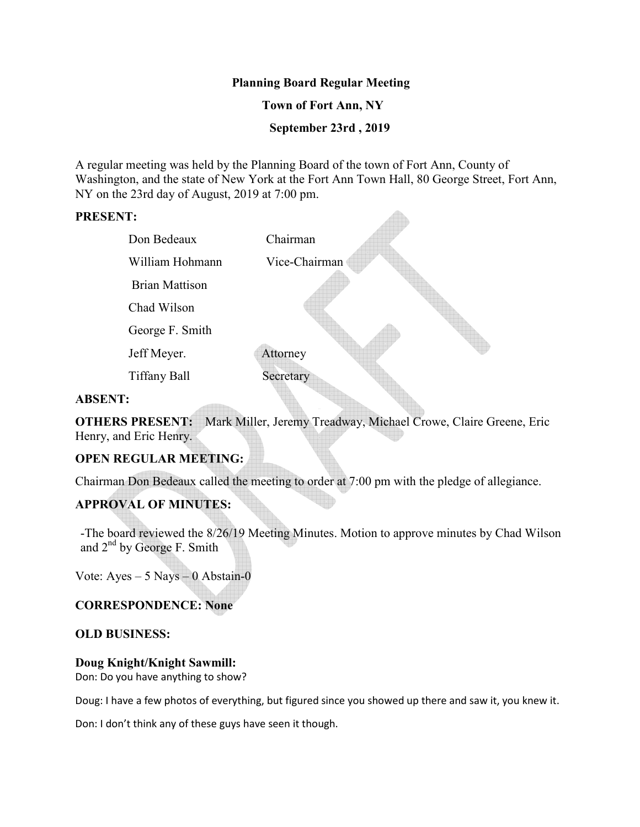## **Planning Board Regular Meeting**

## **Town of Fort Ann, NY**

 **September 23rd , 2019**

 $\triangle$ 

A regular meeting was held by the Planning Board of the town of Fort Ann, County of Washington, and the state of New York at the Fort Ann Town Hall, 80 George Street, Fort Ann, NY on the 23rd day of August, 2019 at 7:00 pm.

### **PRESENT:**

| Don Bedeaux           | Chairman      |
|-----------------------|---------------|
| William Hohmann       | Vice-Chairman |
| <b>Brian Mattison</b> |               |
| Chad Wilson           |               |
| George F. Smith       |               |
| Jeff Meyer.           | Attorney      |
| <b>Tiffany Ball</b>   | Secretary     |
| A DCENT.              |               |

#### **ABSENT:**

**OTHERS PRESENT:** Mark Miller, Jeremy Treadway, Michael Crowe, Claire Greene, Eric Henry, and Eric Henry.

# **OPEN REGULAR MEETING:**

Chairman Don Bedeaux called the meeting to order at 7:00 pm with the pledge of allegiance.

# **APPROVAL OF MINUTES:**

-The board reviewed the 8/26/19 Meeting Minutes. Motion to approve minutes by Chad Wilson and  $2<sup>nd</sup>$  by George F. Smith

Vote: Ayes – 5 Nays – 0 Abstain-0

## **CORRESPONDENCE: None**

#### **OLD BUSINESS:**

#### **Doug Knight/Knight Sawmill:**

Don: Do you have anything to show?

Doug: I have a few photos of everything, but figured since you showed up there and saw it, you knew it.

Don: I don't think any of these guys have seen it though.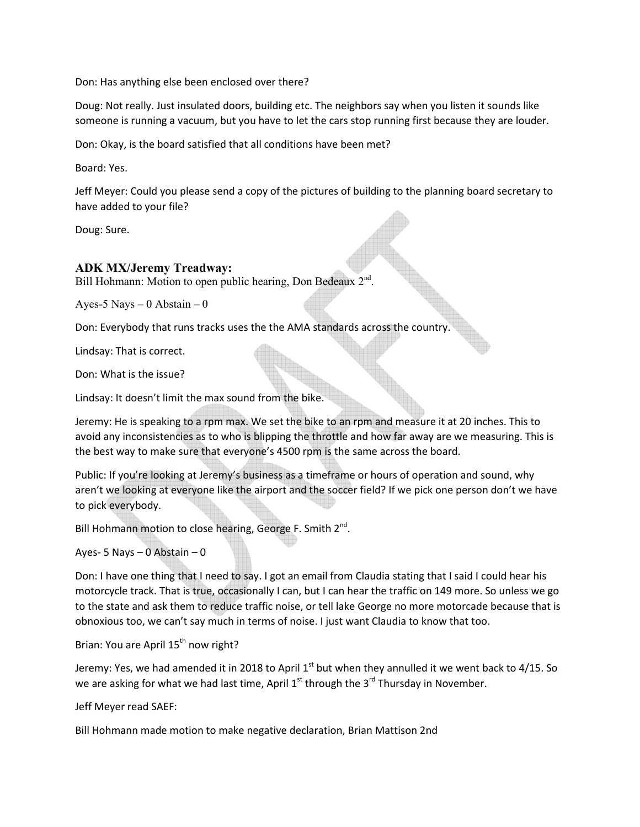Don: Has anything else been enclosed over there?

Doug: Not really. Just insulated doors, building etc. The neighbors say when you listen it sounds like someone is running a vacuum, but you have to let the cars stop running first because they are louder.

Don: Okay, is the board satisfied that all conditions have been met?

Board: Yes.

Jeff Meyer: Could you please send a copy of the pictures of building to the planning board secretary to have added to your file?

Doug: Sure.

### **ADK MX/Jeremy Treadway:**

Bill Hohmann: Motion to open public hearing, Don Bedeaux 2<sup>nd</sup>.

Ayes-5 Nays  $-0$  Abstain  $-0$ 

Don: Everybody that runs tracks uses the the AMA standards across the country.

Lindsay: That is correct.

Don: What is the issue?

Lindsay: It doesn't limit the max sound from the bike.

Jeremy: He is speaking to a rpm max. We set the bike to an rpm and measure it at 20 inches. This to avoid any inconsistencies as to who is blipping the throttle and how far away are we measuring. This is the best way to make sure that everyone's 4500 rpm is the same across the board.

Public: If you're looking at Jeremy's business as a timeframe or hours of operation and sound, why aren't we looking at everyone like the airport and the soccer field? If we pick one person don't we have to pick everybody.

Bill Hohmann motion to close hearing, George F. Smith 2<sup>nd</sup>.

Ayes- 5 Nays – 0 Abstain – 0

Don: I have one thing that I need to say. I got an email from Claudia stating that I said I could hear his motorcycle track. That is true, occasionally I can, but I can hear the traffic on 149 more. So unless we go to the state and ask them to reduce traffic noise, or tell lake George no more motorcade because that is obnoxious too, we can't say much in terms of noise. I just want Claudia to know that too.

Brian: You are April 15<sup>th</sup> now right?

Jeremy: Yes, we had amended it in 2018 to April  $1<sup>st</sup>$  but when they annulled it we went back to 4/15. So we are asking for what we had last time, April  $1^{st}$  through the  $3^{rd}$  Thursday in November.

Jeff Meyer read SAEF:

Bill Hohmann made motion to make negative declaration, Brian Mattison 2nd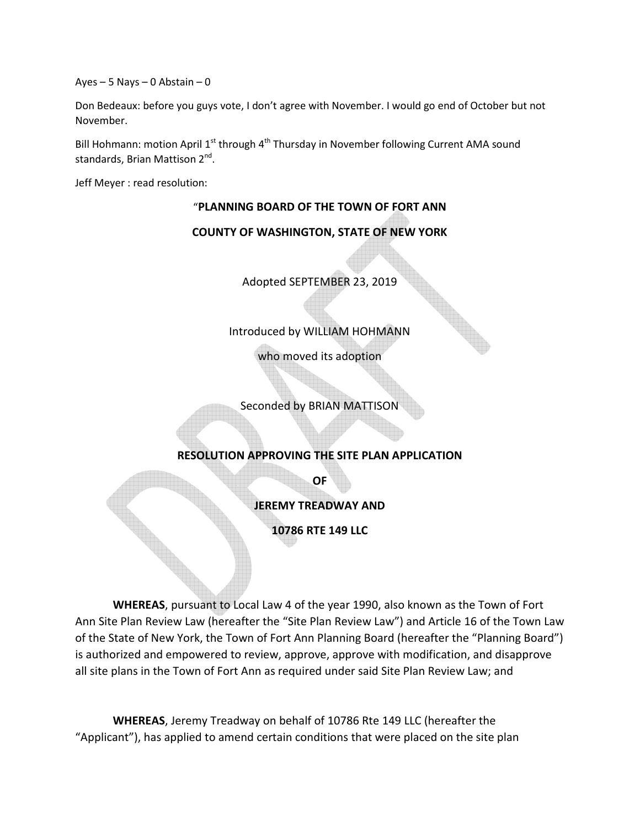Ayes – 5 Nays – 0 Abstain – 0

Don Bedeaux: before you guys vote, I don't agree with November. I would go end of October but not November.

Bill Hohmann: motion April  $1^{st}$  through  $4^{th}$  Thursday in November following Current AMA sound standards, Brian Mattison 2<sup>nd</sup>.

Jeff Meyer : read resolution:

## "**PLANNING BOARD OF THE TOWN OF FORT ANN**

### **COUNTY OF WASHINGTON, STATE OF NEW YORK**

Adopted SEPTEMBER 23, 2019

Introduced by WILLIAM HOHMANN

who moved its adoption

Seconded by BRIAN MATTISON

## **RESOLUTION APPROVING THE SITE PLAN APPLICATION**

**OF** 

**JEREMY TREADWAY AND** 

**10786 RTE 149 LLC** 

**WHEREAS**, pursuant to Local Law 4 of the year 1990, also known as the Town of Fort Ann Site Plan Review Law (hereafter the "Site Plan Review Law") and Article 16 of the Town Law of the State of New York, the Town of Fort Ann Planning Board (hereafter the "Planning Board") is authorized and empowered to review, approve, approve with modification, and disapprove all site plans in the Town of Fort Ann as required under said Site Plan Review Law; and

**WHEREAS**, Jeremy Treadway on behalf of 10786 Rte 149 LLC (hereafter the "Applicant"), has applied to amend certain conditions that were placed on the site plan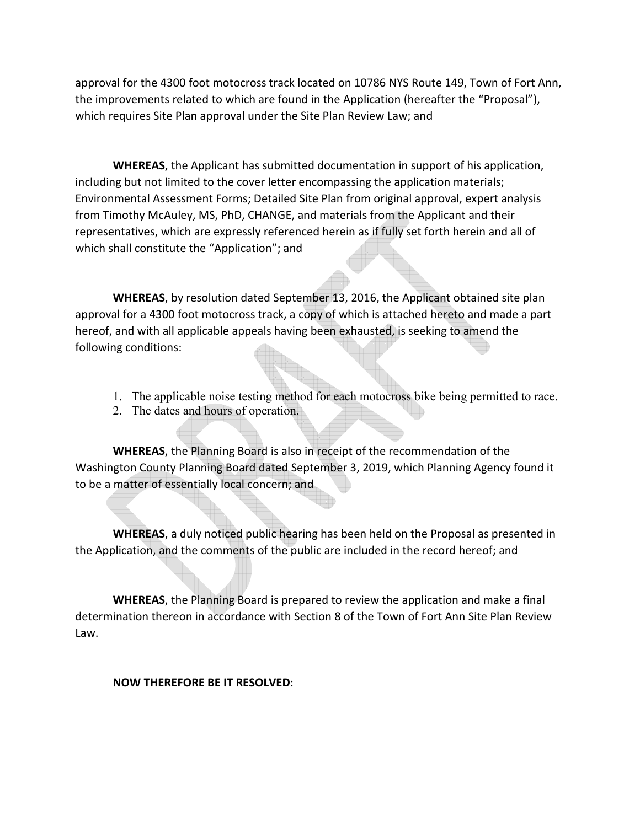approval for the 4300 foot motocross track located on 10786 NYS Route 149, Town of Fort Ann, the improvements related to which are found in the Application (hereafter the "Proposal"), which requires Site Plan approval under the Site Plan Review Law; and

**WHEREAS**, the Applicant has submitted documentation in support of his application, including but not limited to the cover letter encompassing the application materials; Environmental Assessment Forms; Detailed Site Plan from original approval, expert analysis from Timothy McAuley, MS, PhD, CHANGE, and materials from the Applicant and their representatives, which are expressly referenced herein as if fully set forth herein and all of which shall constitute the "Application"; and

**WHEREAS**, by resolution dated September 13, 2016, the Applicant obtained site plan approval for a 4300 foot motocross track, a copy of which is attached hereto and made a part hereof, and with all applicable appeals having been exhausted, is seeking to amend the following conditions:

- 1. The applicable noise testing method for each motocross bike being permitted to race.
- 2. The dates and hours of operation.

**WHEREAS**, the Planning Board is also in receipt of the recommendation of the Washington County Planning Board dated September 3, 2019, which Planning Agency found it to be a matter of essentially local concern; and

**WHEREAS**, a duly noticed public hearing has been held on the Proposal as presented in the Application, and the comments of the public are included in the record hereof; and

 **WHEREAS**, the Planning Board is prepared to review the application and make a final determination thereon in accordance with Section 8 of the Town of Fort Ann Site Plan Review Law.

# **NOW THEREFORE BE IT RESOLVED**: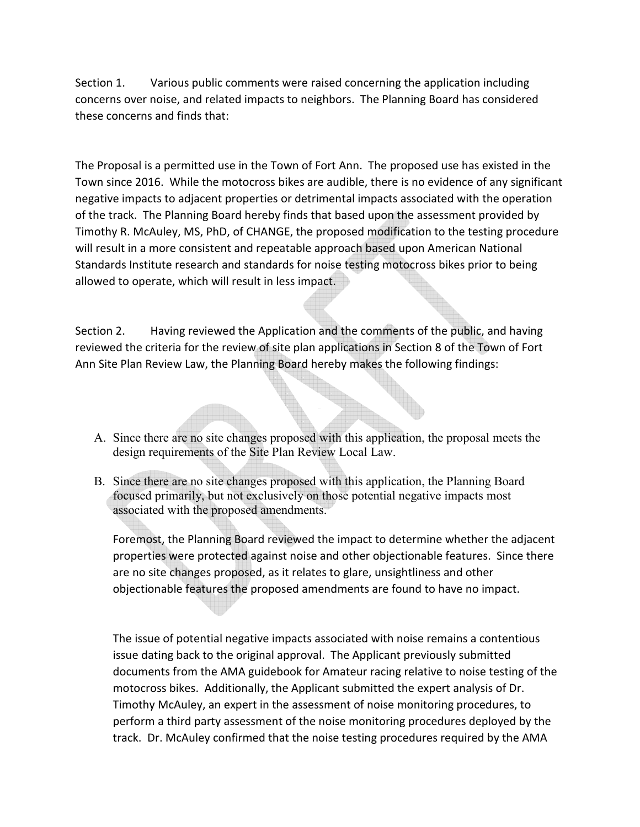Section 1. Various public comments were raised concerning the application including concerns over noise, and related impacts to neighbors. The Planning Board has considered these concerns and finds that:

The Proposal is a permitted use in the Town of Fort Ann. The proposed use has existed in the Town since 2016. While the motocross bikes are audible, there is no evidence of any significant negative impacts to adjacent properties or detrimental impacts associated with the operation of the track. The Planning Board hereby finds that based upon the assessment provided by Timothy R. McAuley, MS, PhD, of CHANGE, the proposed modification to the testing procedure will result in a more consistent and repeatable approach based upon American National Standards Institute research and standards for noise testing motocross bikes prior to being allowed to operate, which will result in less impact.

Section 2. Having reviewed the Application and the comments of the public, and having reviewed the criteria for the review of site plan applications in Section 8 of the Town of Fort Ann Site Plan Review Law, the Planning Board hereby makes the following findings:

- A. Since there are no site changes proposed with this application, the proposal meets the design requirements of the Site Plan Review Local Law.
- B. Since there are no site changes proposed with this application, the Planning Board focused primarily, but not exclusively on those potential negative impacts most associated with the proposed amendments.

Foremost, the Planning Board reviewed the impact to determine whether the adjacent properties were protected against noise and other objectionable features. Since there are no site changes proposed, as it relates to glare, unsightliness and other objectionable features the proposed amendments are found to have no impact.

The issue of potential negative impacts associated with noise remains a contentious issue dating back to the original approval. The Applicant previously submitted documents from the AMA guidebook for Amateur racing relative to noise testing of the motocross bikes. Additionally, the Applicant submitted the expert analysis of Dr. Timothy McAuley, an expert in the assessment of noise monitoring procedures, to perform a third party assessment of the noise monitoring procedures deployed by the track. Dr. McAuley confirmed that the noise testing procedures required by the AMA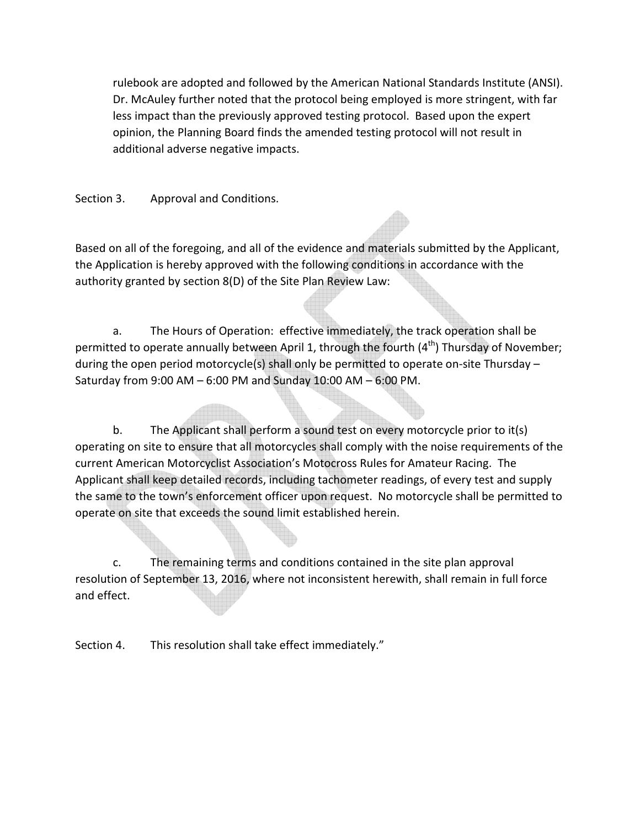rulebook are adopted and followed by the American National Standards Institute (ANSI). Dr. McAuley further noted that the protocol being employed is more stringent, with far less impact than the previously approved testing protocol. Based upon the expert opinion, the Planning Board finds the amended testing protocol will not result in additional adverse negative impacts.

Section 3. Approval and Conditions.

Based on all of the foregoing, and all of the evidence and materials submitted by the Applicant, the Application is hereby approved with the following conditions in accordance with the authority granted by section 8(D) of the Site Plan Review Law:

 a. The Hours of Operation: effective immediately, the track operation shall be permitted to operate annually between April 1, through the fourth (4<sup>th</sup>) Thursday of November; during the open period motorcycle(s) shall only be permitted to operate on-site Thursday – Saturday from 9:00 AM – 6:00 PM and Sunday 10:00 AM – 6:00 PM.

 b. The Applicant shall perform a sound test on every motorcycle prior to it(s) operating on site to ensure that all motorcycles shall comply with the noise requirements of the current American Motorcyclist Association's Motocross Rules for Amateur Racing. The Applicant shall keep detailed records, including tachometer readings, of every test and supply the same to the town's enforcement officer upon request. No motorcycle shall be permitted to operate on site that exceeds the sound limit established herein.

 c. The remaining terms and conditions contained in the site plan approval resolution of September 13, 2016, where not inconsistent herewith, shall remain in full force and effect.

Section 4. This resolution shall take effect immediately."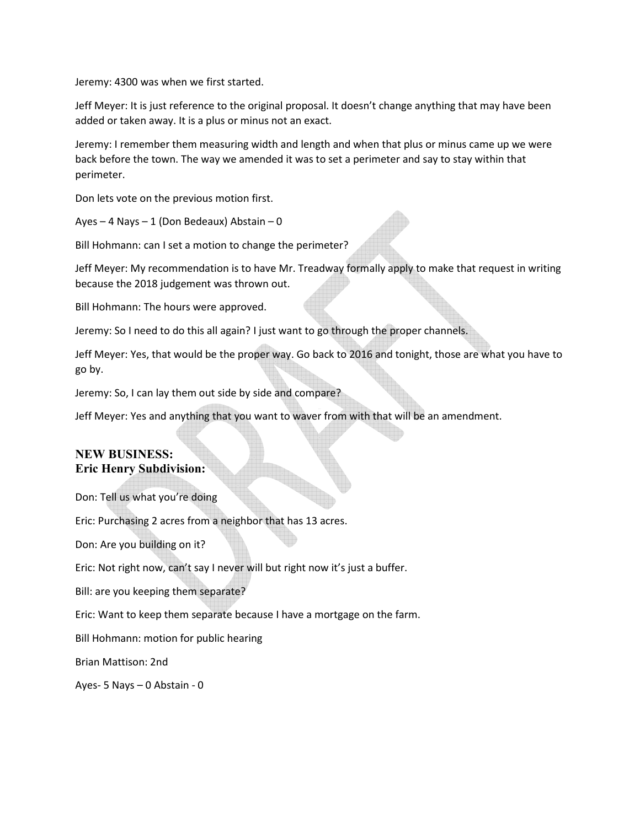Jeremy: 4300 was when we first started.

Jeff Meyer: It is just reference to the original proposal. It doesn't change anything that may have been added or taken away. It is a plus or minus not an exact.

Jeremy: I remember them measuring width and length and when that plus or minus came up we were back before the town. The way we amended it was to set a perimeter and say to stay within that perimeter.

Don lets vote on the previous motion first.

Ayes – 4 Nays – 1 (Don Bedeaux) Abstain – 0

Bill Hohmann: can I set a motion to change the perimeter?

Jeff Meyer: My recommendation is to have Mr. Treadway formally apply to make that request in writing because the 2018 judgement was thrown out.

Bill Hohmann: The hours were approved.

Jeremy: So I need to do this all again? I just want to go through the proper channels.

Jeff Meyer: Yes, that would be the proper way. Go back to 2016 and tonight, those are what you have to go by.

Jeremy: So, I can lay them out side by side and compare?

Jeff Meyer: Yes and anything that you want to waver from with that will be an amendment.

## **NEW BUSINESS: Eric Henry Subdivision:**

Don: Tell us what you're doing

Eric: Purchasing 2 acres from a neighbor that has 13 acres.

Don: Are you building on it?

Eric: Not right now, can't say I never will but right now it's just a buffer.

Bill: are you keeping them separate?

Eric: Want to keep them separate because I have a mortgage on the farm.

Bill Hohmann: motion for public hearing

Brian Mattison: 2nd

Ayes- 5 Nays – 0 Abstain - 0